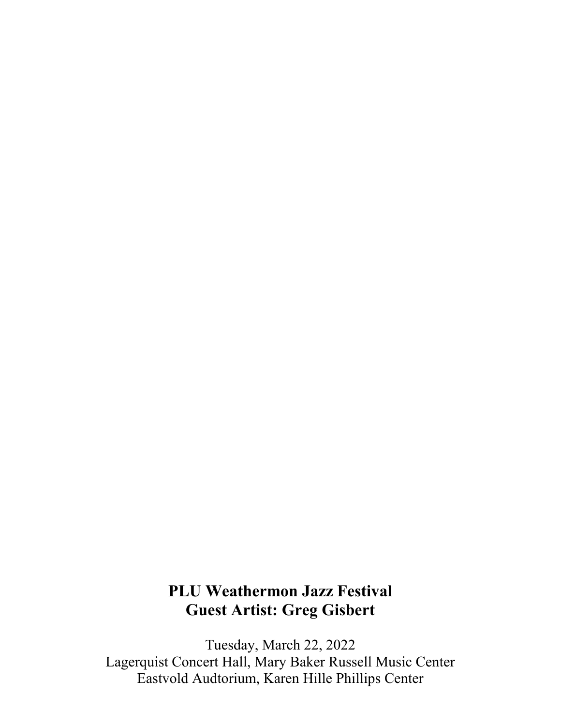# **PLU Weathermon Jazz Festival Guest Artist: Greg Gisbert**

Tuesday, March 22, 2022 Lagerquist Concert Hall, Mary Baker Russell Music Center Eastvold Audtorium, Karen Hille Phillips Center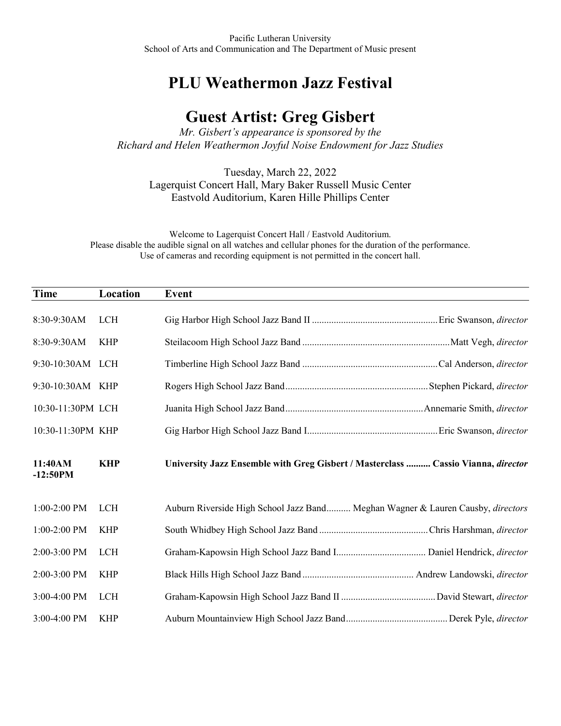## **PLU Weathermon Jazz Festival**

## **Guest Artist: Greg Gisbert**

*Mr. Gisbert's appearance is sponsored by the Richard and Helen Weathermon Joyful Noise Endowment for Jazz Studies*

Tuesday, March 22, 2022 Lagerquist Concert Hall, Mary Baker Russell Music Center Eastvold Auditorium, Karen Hille Phillips Center

Welcome to Lagerquist Concert Hall / Eastvold Auditorium. Please disable the audible signal on all watches and cellular phones for the duration of the performance. Use of cameras and recording equipment is not permitted in the concert hall.

| Time                  | Location   | Event                                                                             |
|-----------------------|------------|-----------------------------------------------------------------------------------|
| 8:30-9:30AM           | <b>LCH</b> |                                                                                   |
| 8:30-9:30AM           | <b>KHP</b> |                                                                                   |
| 9:30-10:30AM LCH      |            |                                                                                   |
| 9:30-10:30AM KHP      |            |                                                                                   |
| 10:30-11:30PM LCH     |            |                                                                                   |
| 10:30-11:30PM KHP     |            |                                                                                   |
| 11:40AM<br>$-12:50PM$ | <b>KHP</b> | University Jazz Ensemble with Greg Gisbert / Masterclass  Cassio Vianna, director |
| 1:00-2:00 PM          | <b>LCH</b> | Auburn Riverside High School Jazz Band Meghan Wagner & Lauren Causby, directors   |
| 1:00-2:00 PM          | <b>KHP</b> |                                                                                   |
| 2:00-3:00 PM          | <b>LCH</b> |                                                                                   |
| 2:00-3:00 PM          | <b>KHP</b> |                                                                                   |
| 3:00-4:00 PM          | <b>LCH</b> |                                                                                   |
| 3:00-4:00 PM          | <b>KHP</b> |                                                                                   |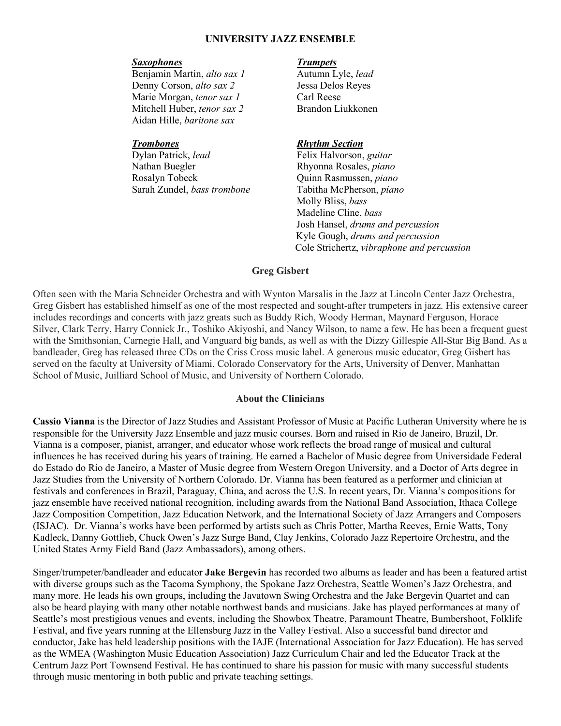### **UNIVERSITY JAZZ ENSEMBLE**

### *Saxophones Trumpets*

Benjamin Martin, *alto sax 1* Autumn Lyle, *lead*  Denny Corson, *alto sax 2* Jessa Delos Reyes Marie Morgan, *tenor sax 1* Carl Reese<br>
Mitchell Huber, *tenor sax 2* Brandon Liukkonen Mitchell Huber, *tenor sax 2* Aidan Hille, *baritone sax* 

 Dylan Patrick, *lead* Felix Halvorson, *guitar* Nathan Buegler Rhyonna Rosales, *piano* Rosalyn Tobeck Quinn Rasmussen, *piano* Sarah Zundel, *bass trombone* Tabitha McPherson, *piano*

### *Trombones Rhythm Section*

 Molly Bliss, *bass* Madeline Cline, *bass* Josh Hansel, *drums and percussion* Kyle Gough, *drums and percussion* Cole Strichertz, *vibraphone and percussion*

### **Greg Gisbert**

Often seen with the Maria Schneider Orchestra and with Wynton Marsalis in the Jazz at Lincoln Center Jazz Orchestra, Greg Gisbert has established himself as one of the most respected and sought-after trumpeters in jazz. His extensive career includes recordings and concerts with jazz greats such as Buddy Rich, Woody Herman, Maynard Ferguson, Horace Silver, Clark Terry, Harry Connick Jr., Toshiko Akiyoshi, and Nancy Wilson, to name a few. He has been a frequent guest with the Smithsonian, Carnegie Hall, and Vanguard big bands, as well as with the Dizzy Gillespie All-Star Big Band. As a bandleader, Greg has released three CDs on the Criss Cross music label. A generous music educator, Greg Gisbert has served on the faculty at University of Miami, Colorado Conservatory for the Arts, University of Denver, Manhattan School of Music, Juilliard School of Music, and University of Northern Colorado.

### **About the Clinicians**

**Cassio Vianna** is the Director of Jazz Studies and Assistant Professor of Music at Pacific Lutheran University where he is responsible for the University Jazz Ensemble and jazz music courses. Born and raised in Rio de Janeiro, Brazil, Dr. Vianna is a composer, pianist, arranger, and educator whose work reflects the broad range of musical and cultural influences he has received during his years of training. He earned a Bachelor of Music degree from Universidade Federal do Estado do Rio de Janeiro, a Master of Music degree from Western Oregon University, and a Doctor of Arts degree in Jazz Studies from the University of Northern Colorado. Dr. Vianna has been featured as a performer and clinician at festivals and conferences in Brazil, Paraguay, China, and across the U.S. In recent years, Dr. Vianna's compositions for jazz ensemble have received national recognition, including awards from the National Band Association, Ithaca College Jazz Composition Competition, Jazz Education Network, and the International Society of Jazz Arrangers and Composers (ISJAC). Dr. Vianna's works have been performed by artists such as Chris Potter, Martha Reeves, Ernie Watts, Tony Kadleck, Danny Gottlieb, Chuck Owen's Jazz Surge Band, Clay Jenkins, Colorado Jazz Repertoire Orchestra, and the United States Army Field Band (Jazz Ambassadors), among others.

Singer/trumpeter/bandleader and educator **Jake Bergevin** has recorded two albums as leader and has been a featured artist with diverse groups such as the Tacoma Symphony, the Spokane Jazz Orchestra, Seattle Women's Jazz Orchestra, and many more. He leads his own groups, including the Javatown Swing Orchestra and the Jake Bergevin Quartet and can also be heard playing with many other notable northwest bands and musicians. Jake has played performances at many of Seattle's most prestigious venues and events, including the Showbox Theatre, Paramount Theatre, Bumbershoot, Folklife Festival, and five years running at the Ellensburg Jazz in the Valley Festival. Also a successful band director and conductor, Jake has held leadership positions with the IAJE (International Association for Jazz Education). He has served as the WMEA (Washington Music Education Association) Jazz Curriculum Chair and led the Educator Track at the Centrum Jazz Port Townsend Festival. He has continued to share his passion for music with many successful students through music mentoring in both public and private teaching settings.